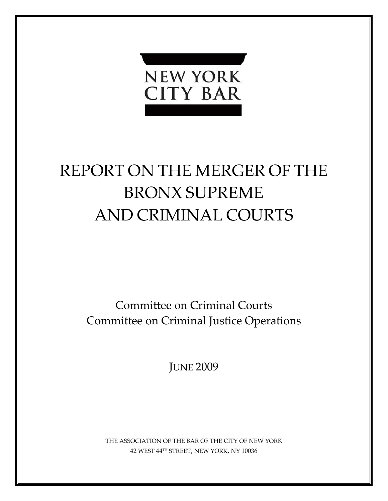

# REPORT ON THE MERGER OF THE BRONX SUPREME AND CRIMINAL COURTS

Committee on Criminal Courts Committee on Criminal Justice Operations

JUNE 2009

THE ASSOCIATION OF THE BAR OF THE CITY OF NEW YORK 42 WEST 44TH STREET, NEW YORK, NY 10036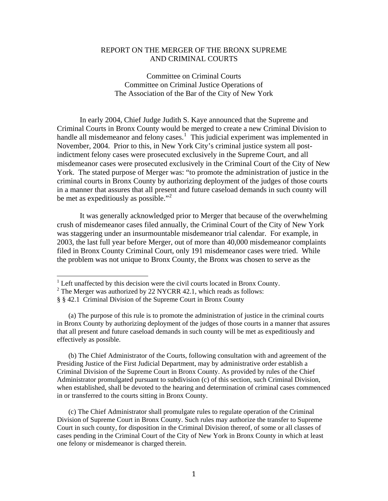## REPORT ON THE MERGER OF THE BRONX SUPREME AND CRIMINAL COURTS

Committee on Criminal Courts Committee on Criminal Justice Operations of The Association of the Bar of the City of New York

 In early 2004, Chief Judge Judith S. Kaye announced that the Supreme and Criminal Courts in Bronx County would be merged to create a new Criminal Division to handle all misdemeanor and felony cases.<sup>[1](#page-1-0)</sup> This judicial experiment was implemented in November, 2004. Prior to this, in New York City's criminal justice system all postindictment felony cases were prosecuted exclusively in the Supreme Court, and all misdemeanor cases were prosecuted exclusively in the Criminal Court of the City of New York. The stated purpose of Merger was: "to promote the administration of justice in the criminal courts in Bronx County by authorizing deployment of the judges of those courts in a manner that assures that all present and future caseload demands in such county will be met as expeditiously as possible."<sup>[2](#page-1-1)</sup>

the problem was not unique to Bronx County, the Bronx was chosen to serve as the It was generally acknowledged prior to Merger that because of the overwhelming crush of misdemeanor cases filed annually, the Criminal Court of the City of New York was staggering under an insurmountable misdemeanor trial calendar. For example, in 2003, the last full year before Merger, out of more than 40,000 misdemeanor complaints filed in Bronx County Criminal Court, only 191 misdemeanor cases were tried. While

(a) The purpose of this rule is to promote the administration of justice in the criminal courts in Bronx County by authorizing deployment of the judges of those courts in a manner that assures that all present and future caseload demands in such county will be met as expeditiously and effectively as possible.

(b) The Chief Administrator of the Courts, following consultation with and agreement of the Presiding Justice of the First Judicial Department, may by administrative order establish a Criminal Division of the Supreme Court in Bronx County. As provided by rules of the Chief Administrator promulgated pursuant to subdivision (c) of this section, such Criminal Division, when established, shall be devoted to the hearing and determination of criminal cases commenced in or transferred to the courts sitting in Bronx County.

(c) The Chief Administrator shall promulgate rules to regulate operation of the Criminal Division of Supreme Court in Bronx County. Such rules may authorize the transfer to Supreme Court in such county, for disposition in the Criminal Division thereof, of some or all classes of cases pending in the Criminal Court of the City of New York in Bronx County in which at least one felony or misdemeanor is charged therein.

<span id="page-1-0"></span> 1 Left unaffected by this decision were the civil courts located in Bronx County.

<span id="page-1-1"></span> $2^2$  The Merger was authorized by 22 NYCRR 42.1, which reads as follows:

<sup>§ § 42.1</sup> Criminal Division of the Supreme Court in Bronx County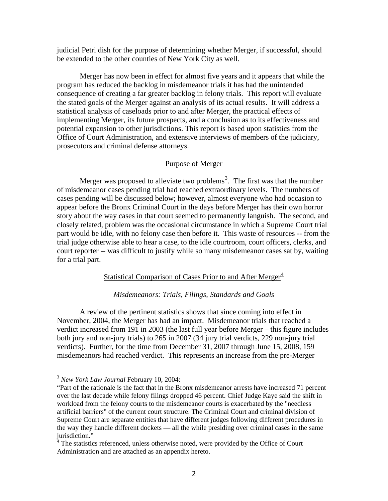judicial Petri dish for the purpose of determining whether Merger, if successful, should be extended to the other counties of New York City as well.

Merger has now been in effect for almost five years and it appears that while the program has reduced the backlog in misdemeanor trials it has had the unintended consequence of creating a far greater backlog in felony trials. This report will evaluate the stated goals of the Merger against an analysis of its actual results. It will address a statistical analysis of caseloads prior to and after Merger, the practical effects of implementing Merger, its future prospects, and a conclusion as to its effectiveness and potential expansion to other jurisdictions. This report is based upon statistics from the Office of Court Administration, and extensive interviews of members of the judiciary, prosecutors and criminal defense attorneys.

## Purpose of Merger

Merger was proposed to alleviate two problems<sup>[3](#page-2-0)</sup>. The first was that the number of misdemeanor cases pending trial had reached extraordinary levels. The numbers of cases pending will be discussed below; however, almost everyone who had occasion to appear before the Bronx Criminal Court in the days before Merger has their own horror story about the way cases in that court seemed to permanently languish. The second, and closely related, problem was the occasional circumstance in which a Supreme Court trial part would be idle, with no felony case then before it. This waste of resources -- from the trial judge otherwise able to hear a case, to the idle courtroom, court officers, clerks, and court reporter -- was difficult to justify while so many misdemeanor cases sat by, waiting for a trial part.

## Statistical Comparison of Cases Prior to and After Merger $4$

#### *Misdemeanors: Trials, Filings, Standards and Goals*

 A review of the pertinent statistics shows that since coming into effect in November, 2004, the Merger has had an impact. Misdemeanor trials that reached a verdict increased from 191 in 2003 (the last full year before Merger – this figure includes both jury and non-jury trials) to 265 in 2007 (34 jury trial verdicts, 229 non-jury trial verdicts). Further, for the time from December 31, 2007 through June 15, 2008, 159 misdemeanors had reached verdict. This represents an increase from the pre-Merger

<span id="page-2-0"></span><sup>3</sup> *New York Law Journal* February 10, 2004:

<sup>&</sup>quot;Part of the rationale is the fact that in the Bronx misdemeanor arrests have increased 71 percent over the last decade while felony filings dropped 46 percent. Chief Judge Kaye said the shift in workload from the felony courts to the misdemeanor courts is exacerbated by the "needless artificial barriers" of the current court structure. The Criminal Court and criminal division of Supreme Court are separate entities that have different judges following different procedures in the way they handle different dockets — all the while presiding over criminal cases in the same jurisdiction."

<span id="page-2-1"></span><sup>&</sup>lt;sup>4</sup> The statistics referenced, unless otherwise noted, were provided by the Office of Court Administration and are attached as an appendix hereto.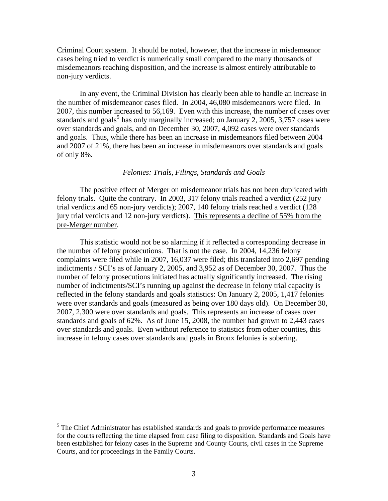Criminal Court system. It should be noted, however, that the increase in misdemeanor cases being tried to verdict is numerically small compared to the many thousands of misdemeanors reaching disposition, and the increase is almost entirely attributable to non-jury verdicts.

In any event, the Criminal Division has clearly been able to handle an increase in the number of misdemeanor cases filed. In 2004, 46,080 misdemeanors were filed. In 2007, this number increased to 56,169. Even with this increase, the number of cases over standards and goals<sup>[5](#page-3-0)</sup> has only marginally increased; on January 2, 2005, 3,757 cases were over standards and goals, and on December 30, 2007, 4,092 cases were over standards and goals. Thus, while there has been an increase in misdemeanors filed between 2004 and 2007 of 21%, there has been an increase in misdemeanors over standards and goals of only 8%.

#### *Felonies: Trials, Filings, Standards and Goals*

The positive effect of Merger on misdemeanor trials has not been duplicated with felony trials. Quite the contrary. In 2003, 317 felony trials reached a verdict (252 jury trial verdicts and 65 non-jury verdicts); 2007, 140 felony trials reached a verdict (128 jury trial verdicts and 12 non-jury verdicts). This represents a decline of 55% from the pre-Merger number.

This statistic would not be so alarming if it reflected a corresponding decrease in the number of felony prosecutions. That is not the case. In 2004, 14,236 felony complaints were filed while in 2007, 16,037 were filed; this translated into 2,697 pending indictments / SCI's as of January 2, 2005, and 3,952 as of December 30, 2007. Thus the number of felony prosecutions initiated has actually significantly increased. The rising number of indictments/SCI's running up against the decrease in felony trial capacity is reflected in the felony standards and goals statistics: On January 2, 2005, 1,417 felonies were over standards and goals (measured as being over 180 days old). On December 30, 2007, 2,300 were over standards and goals. This represents an increase of cases over standards and goals of 62%. As of June 15, 2008, the number had grown to 2,443 cases over standards and goals. Even without reference to statistics from other counties, this increase in felony cases over standards and goals in Bronx felonies is sobering.

<span id="page-3-0"></span> $<sup>5</sup>$  The Chief Administrator has established standards and goals to provide performance measures</sup> for the courts reflecting the time elapsed from case filing to disposition. Standards and Goals have been established for felony cases in the Supreme and County Courts, civil cases in the Supreme Courts, and for proceedings in the Family Courts.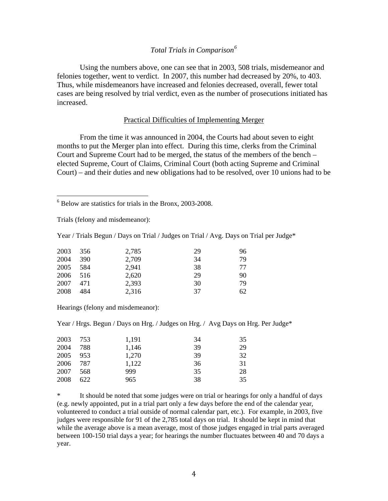## *Total Trials in Comparison[6](#page-4-0)*

 Using the numbers above, one can see that in 2003, 508 trials, misdemeanor and felonies together, went to verdict. In 2007, this number had decreased by 20%, to 403. Thus, while misdemeanors have increased and felonies decreased, overall, fewer total cases are being resolved by trial verdict, even as the number of prosecutions initiated has increased.

## Practical Difficulties of Implementing Merger

From the time it was announced in 2004, the Courts had about seven to eight months to put the Merger plan into effect. During this time, clerks from the Criminal Court and Supreme Court had to be merged, the status of the members of the bench – elected Supreme, Court of Claims, Criminal Court (both acting Supreme and Criminal Court) – and their duties and new obligations had to be resolved, over 10 unions had to be

<span id="page-4-0"></span>6 Below are statistics for trials in the Bronx, 2003-2008.

Trials (felony and misdemeanor):

Year / Trials Begun / Days on Trial / Judges on Trial / Avg. Days on Trial per Judge\*

| 2003 | 356        | 2,785 | 29 | 96 |
|------|------------|-------|----|----|
| 2004 | <b>390</b> | 2,709 | 34 | 79 |
| 2005 | 584        | 2,941 | 38 | 77 |
| 2006 | 516        | 2,620 | 29 | 90 |
| 2007 | 471        | 2,393 | 30 | 79 |
| 2008 | 484        | 2,316 | 37 | 62 |

Hearings (felony and misdemeanor):

Year / Hrgs. Begun / Days on Hrg. / Judges on Hrg. / Avg Days on Hrg. Per Judge\*

| 2003 | 753 | 1,191 | 34 | 35 |
|------|-----|-------|----|----|
| 2004 | 788 | 1,146 | 39 | 29 |
| 2005 | 953 | 1,270 | 39 | 32 |
| 2006 | 787 | 1,122 | 36 | 31 |
| 2007 | 568 | 999   | 35 | 28 |
| 2008 | 622 | 965   | 38 | 35 |

\* It should be noted that some judges were on trial or hearings for only a handful of days (e.g. newly appointed, put in a trial part only a few days before the end of the calendar year, volunteered to conduct a trial outside of normal calendar part, etc.). For example, in 2003, five judges were responsible for 91 of the 2,785 total days on trial. It should be kept in mind that while the average above is a mean average, most of those judges engaged in trial parts averaged between 100-150 trial days a year; for hearings the number fluctuates between 40 and 70 days a year.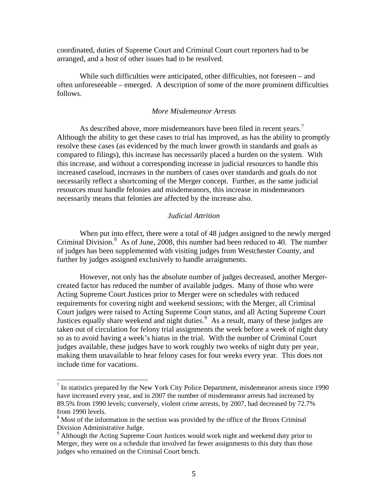coordinated, duties of Supreme Court and Criminal Court court reporters had to be arranged, and a host of other issues had to be resolved.

While such difficulties were anticipated, other difficulties, not foreseen – and often unforeseeable – emerged. A description of some of the more prominent difficulties follows.

## *More Misdemeanor Arrests*

As described above, more misdemeanors have been filed in recent years.<sup>[7](#page-5-0)</sup> Although the ability to get these cases to trial has improved, as has the ability to promptly resolve these cases (as evidenced by the much lower growth in standards and goals as compared to filings), this increase has necessarily placed a burden on the system. With this increase, and without a corresponding increase in judicial resources to handle this increased caseload, increases in the numbers of cases over standards and goals do not necessarily reflect a shortcoming of the Merger concept. Further, as the same judicial resources must handle felonies and misdemeanors, this increase in misdemeanors necessarily means that felonies are affected by the increase also.

#### *Judicial Attrition*

When put into effect, there were a total of 48 judges assigned to the newly merged Criminal Division.<sup>[8](#page-5-1)</sup> As of June, 2008, this number had been reduced to 40. The number of judges has been supplemented with visiting judges from Westchester County, and further by judges assigned exclusively to handle arraignments.

include time for vacations. However, not only has the absolute number of judges decreased, another Mergercreated factor has reduced the number of available judges. Many of those who were Acting Supreme Court Justices prior to Merger were on schedules with reduced requirements for covering night and weekend sessions; with the Merger, all Criminal Court judges were raised to Acting Supreme Court status, and all Acting Supreme Court Justices equally share weekend and night duties.<sup>[9](#page-5-2)</sup> As a result, many of these judges are taken out of circulation for felony trial assignments the week before a week of night duty so as to avoid having a week's hiatus in the trial. With the number of Criminal Court judges available, these judges have to work roughly two weeks of night duty per year, making them unavailable to hear felony cases for four weeks every year. This does not

<span id="page-5-0"></span> $<sup>7</sup>$  In statistics prepared by the New York City Police Department, misdemeanor arrests since 1990</sup> have increased every year, and in 2007 the number of misdemeanor arrests had increased by 89.5% from 1990 levels; conversely, violent crime arrests, by 2007, had decreased by 72.7% from 1990 levels.

<span id="page-5-1"></span><sup>&</sup>lt;sup>8</sup> Most of the information in the section was provided by the office of the Bronx Criminal Division Administrative Judge.

<span id="page-5-2"></span><sup>&</sup>lt;sup>9</sup> Although the Acting Supreme Court Justices would work night and weekend duty prior to Merger, they were on a schedule that involved far fewer assignments to this duty than those judges who remained on the Criminal Court bench.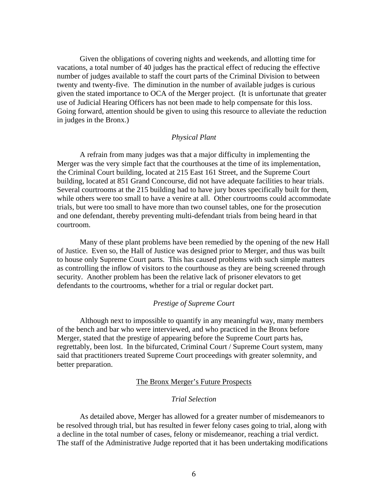Given the obligations of covering nights and weekends, and allotting time for vacations, a total number of 40 judges has the practical effect of reducing the effective number of judges available to staff the court parts of the Criminal Division to between twenty and twenty-five. The diminution in the number of available judges is curious given the stated importance to OCA of the Merger project. (It is unfortunate that greater use of Judicial Hearing Officers has not been made to help compensate for this loss. Going forward, attention should be given to using this resource to alleviate the reduction in judges in the Bronx.)

#### *Physical Plant*

A refrain from many judges was that a major difficulty in implementing the Merger was the very simple fact that the courthouses at the time of its implementation, the Criminal Court building, located at 215 East 161 Street, and the Supreme Court building, located at 851 Grand Concourse, did not have adequate facilities to hear trials. Several courtrooms at the 215 building had to have jury boxes specifically built for them, while others were too small to have a venire at all. Other courtrooms could accommodate trials, but were too small to have more than two counsel tables, one for the prosecution and one defendant, thereby preventing multi-defendant trials from being heard in that courtroom.

Many of these plant problems have been remedied by the opening of the new Hall of Justice. Even so, the Hall of Justice was designed prior to Merger, and thus was built to house only Supreme Court parts. This has caused problems with such simple matters as controlling the inflow of visitors to the courthouse as they are being screened through security. Another problem has been the relative lack of prisoner elevators to get defendants to the courtrooms, whether for a trial or regular docket part.

## *Prestige of Supreme Court*

 Although next to impossible to quantify in any meaningful way, many members of the bench and bar who were interviewed, and who practiced in the Bronx before Merger, stated that the prestige of appearing before the Supreme Court parts has, regrettably, been lost. In the bifurcated, Criminal Court / Supreme Court system, many said that practitioners treated Supreme Court proceedings with greater solemnity, and better preparation.

## The Bronx Merger's Future Prospects

#### *Trial Selection*

 As detailed above, Merger has allowed for a greater number of misdemeanors to be resolved through trial, but has resulted in fewer felony cases going to trial, along with a decline in the total number of cases, felony or misdemeanor, reaching a trial verdict. The staff of the Administrative Judge reported that it has been undertaking modifications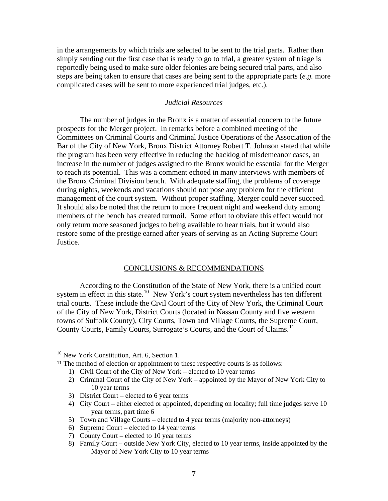in the arrangements by which trials are selected to be sent to the trial parts. Rather than simply sending out the first case that is ready to go to trial, a greater system of triage is reportedly being used to make sure older felonies are being secured trial parts, and also steps are being taken to ensure that cases are being sent to the appropriate parts (*e.g.* more complicated cases will be sent to more experienced trial judges, etc.).

## *Judicial Resources*

 The number of judges in the Bronx is a matter of essential concern to the future prospects for the Merger project. In remarks before a combined meeting of the Committees on Criminal Courts and Criminal Justice Operations of the Association of the Bar of the City of New York, Bronx District Attorney Robert T. Johnson stated that while the program has been very effective in reducing the backlog of misdemeanor cases, an increase in the number of judges assigned to the Bronx would be essential for the Merger to reach its potential. This was a comment echoed in many interviews with members of the Bronx Criminal Division bench. With adequate staffing, the problems of coverage during nights, weekends and vacations should not pose any problem for the efficient management of the court system. Without proper staffing, Merger could never succeed. It should also be noted that the return to more frequent night and weekend duty among members of the bench has created turmoil. Some effort to obviate this effect would not only return more seasoned judges to being available to hear trials, but it would also restore some of the prestige earned after years of serving as an Acting Supreme Court Justice.

## CONCLUSIONS & RECOMMENDATIONS

 According to the Constitution of the State of New York, there is a unified court system in effect in this state.<sup>[10](#page-7-0)</sup> New York's court system nevertheless has ten different trial courts. These include the Civil Court of the City of New York, the Criminal Court of the City of New York, District Courts (located in Nassau County and five western towns of Suffolk County), City Courts, Town and Village Courts, the Supreme Court, County Courts, Family Courts, Surrogate's Courts, and the Court of Claims.<sup>[11](#page-7-1)</sup>

<span id="page-7-0"></span><sup>&</sup>lt;sup>10</sup> New York Constitution, Art. 6, Section 1.

<span id="page-7-1"></span><sup>&</sup>lt;sup>11</sup> The method of election or appointment to these respective courts is as follows:

<sup>1)</sup> Civil Court of the City of New York – elected to 10 year terms

<sup>2)</sup> Criminal Court of the City of New York – appointed by the Mayor of New York City to 10 year terms

<sup>3)</sup> District Court – elected to 6 year terms

<sup>4)</sup> City Court – either elected or appointed, depending on locality; full time judges serve 10 year terms, part time 6

<sup>5)</sup> Town and Village Courts – elected to 4 year terms (majority non-attorneys)

<sup>6)</sup> Supreme Court – elected to 14 year terms

<sup>7)</sup> County Court – elected to 10 year terms

<sup>8)</sup> Family Court – outside New York City, elected to 10 year terms, inside appointed by the Mayor of New York City to 10 year terms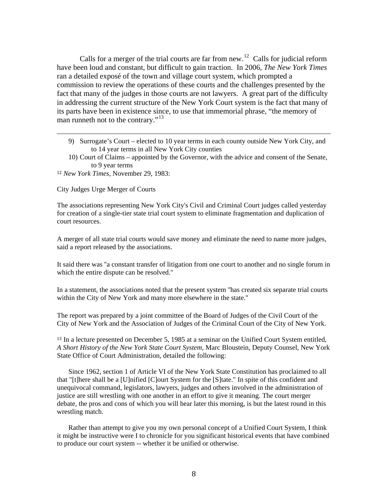man runneth not to the contrary."<sup>13</sup> Calls for a merger of the trial courts are far from new.<sup>[12](#page-8-0)</sup> Calls for judicial reform have been loud and constant, but difficult to gain traction. In 2006, *The New York Times* ran a detailed exposé of the town and village court system, which prompted a commission to review the operations of these courts and the challenges presented by the fact that many of the judges in those courts are not lawyers. A great part of the difficulty in addressing the current structure of the New York Court system is the fact that many of its parts have been in existence since, to use that immemorial phrase, "the memory of

9) Surrogate's Court – elected to 10 year terms in each county outside New York City, and to 14 year terms in all New York City counties

<u> 1989 - Andrea San Andrea San Andrea San Andrea San Andrea San Andrea San Andrea San Andrea San Andrea San An</u>

10) Court of Claims – appointed by the Governor, with the advice and consent of the Senate, to 9 year terms

<span id="page-8-0"></span><sup>12</sup> *New York Times*, November 29, 1983:

City Judges Urge Merger of Courts

The associations representing New York City's Civil and Criminal Court judges called yesterday for creation of a single-tier state trial court system to eliminate fragmentation and duplication of court resources.

A merger of all state trial courts would save money and eliminate the need to name more judges, said a report released by the associations.

It said there was ''a constant transfer of litigation from one court to another and no single forum in which the entire dispute can be resolved.''

In a statement, the associations noted that the present system ''has created six separate trial courts within the City of New York and many more elsewhere in the state.''

The report was prepared by a joint committee of the Board of Judges of the Civil Court of the City of New York and the Association of Judges of the Criminal Court of the City of New York.

<sup>13</sup> In a lecture presented on December 5, 1985 at a seminar on the Unified Court System entitled, *A Short History of the New York State Court System*, Marc Bloustein, Deputy Counsel, New York State Office of Court Administration, detailed the following:

Since 1962, section 1 of Article VI of the New York State Constitution has proclaimed to all that "[t]here shall be a [U]nified [C]ourt System for the [S]tate." In spite of this confident and unequivocal command, legislators, lawyers, judges and others involved in the administration of justice are still wrestling with one another in an effort to give it meaning. The court merger debate, the pros and cons of which you will hear later this morning, is but the latest round in this wrestling match.

Rather than attempt to give you my own personal concept of a Unified Court System, I think it might be instructive were I to chronicle for you significant historical events that have combined to produce our court system -- whether it be unified or otherwise.